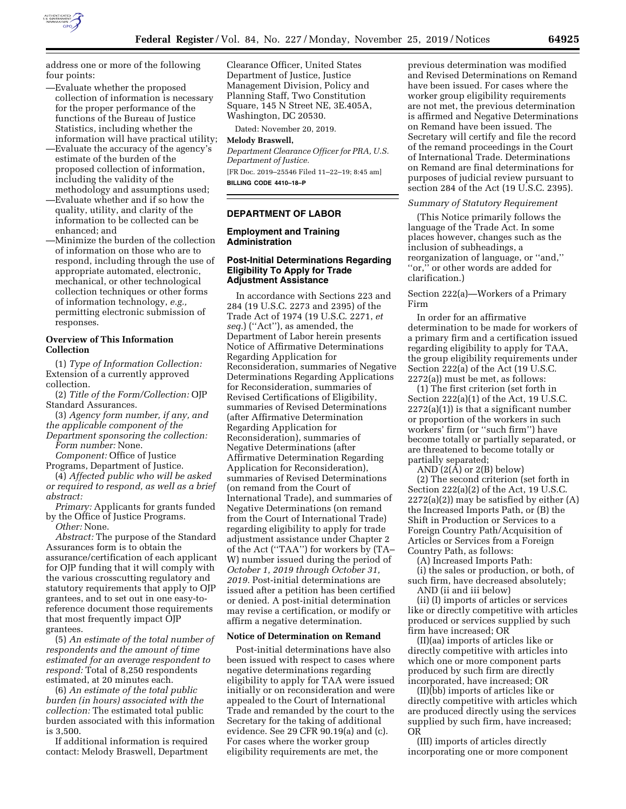

- —Evaluate whether the proposed collection of information is necessary for the proper performance of the functions of the Bureau of Justice Statistics, including whether the information will have practical utility;
- —Evaluate the accuracy of the agency's estimate of the burden of the proposed collection of information, including the validity of the methodology and assumptions used;
- —Evaluate whether and if so how the quality, utility, and clarity of the information to be collected can be enhanced; and
- —Minimize the burden of the collection of information on those who are to respond, including through the use of appropriate automated, electronic, mechanical, or other technological collection techniques or other forms of information technology, *e.g.,*  permitting electronic submission of responses.

## **Overview of This Information Collection**

(1) *Type of Information Collection:*  Extension of a currently approved collection.

(2) *Title of the Form/Collection:* OJP Standard Assurances.

(3) *Agency form number, if any, and the applicable component of the* 

*Department sponsoring the collection: Form number:* None.

*Component:* Office of Justice

Programs, Department of Justice.

(4) *Affected public who will be asked or required to respond, as well as a brief abstract:* 

*Primary:* Applicants for grants funded by the Office of Justice Programs.

*Other:* None.

*Abstract:* The purpose of the Standard Assurances form is to obtain the assurance/certification of each applicant for OJP funding that it will comply with the various crosscutting regulatory and statutory requirements that apply to OJP grantees, and to set out in one easy-toreference document those requirements that most frequently impact OJP grantees.

(5) *An estimate of the total number of respondents and the amount of time estimated for an average respondent to respond:* Total of 8,250 respondents estimated, at 20 minutes each.

(6) *An estimate of the total public burden (in hours) associated with the collection:* The estimated total public burden associated with this information is 3,500.

If additional information is required contact: Melody Braswell, Department Clearance Officer, United States Department of Justice, Justice Management Division, Policy and Planning Staff, Two Constitution Square, 145 N Street NE, 3E.405A, Washington, DC 20530.

Dated: November 20, 2019.

### **Melody Braswell,**

*Department Clearance Officer for PRA, U.S. Department of Justice.*  [FR Doc. 2019–25546 Filed 11–22–19; 8:45 am]

**BILLING CODE 4410–18–P** 

## **DEPARTMENT OF LABOR**

## **Employment and Training Administration**

### **Post-Initial Determinations Regarding Eligibility To Apply for Trade Adjustment Assistance**

In accordance with Sections 223 and 284 (19 U.S.C. 2273 and 2395) of the Trade Act of 1974 (19 U.S.C. 2271, *et seq.*) (''Act''), as amended, the Department of Labor herein presents Notice of Affirmative Determinations Regarding Application for Reconsideration, summaries of Negative Determinations Regarding Applications for Reconsideration, summaries of Revised Certifications of Eligibility, summaries of Revised Determinations (after Affirmative Determination Regarding Application for Reconsideration), summaries of Negative Determinations (after Affirmative Determination Regarding Application for Reconsideration), summaries of Revised Determinations (on remand from the Court of International Trade), and summaries of Negative Determinations (on remand from the Court of International Trade) regarding eligibility to apply for trade adjustment assistance under Chapter 2 of the Act (''TAA'') for workers by (TA– W) number issued during the period of *October 1, 2019 through October 31, 2019.* Post-initial determinations are issued after a petition has been certified or denied. A post-initial determination may revise a certification, or modify or affirm a negative determination.

#### **Notice of Determination on Remand**

Post-initial determinations have also been issued with respect to cases where negative determinations regarding eligibility to apply for TAA were issued initially or on reconsideration and were appealed to the Court of International Trade and remanded by the court to the Secretary for the taking of additional evidence. See 29 CFR 90.19(a) and (c). For cases where the worker group eligibility requirements are met, the

previous determination was modified and Revised Determinations on Remand have been issued. For cases where the worker group eligibility requirements are not met, the previous determination is affirmed and Negative Determinations on Remand have been issued. The Secretary will certify and file the record of the remand proceedings in the Court of International Trade. Determinations on Remand are final determinations for purposes of judicial review pursuant to section 284 of the Act (19 U.S.C. 2395).

#### *Summary of Statutory Requirement*

(This Notice primarily follows the language of the Trade Act. In some places however, changes such as the inclusion of subheadings, a reorganization of language, or ''and,'' ''or,'' or other words are added for clarification.)

## Section 222(a)—Workers of a Primary Firm

In order for an affirmative determination to be made for workers of a primary firm and a certification issued regarding eligibility to apply for TAA, the group eligibility requirements under Section 222(a) of the Act (19 U.S.C. 2272(a)) must be met, as follows:

(1) The first criterion (set forth in Section 222(a)(1) of the Act, 19 U.S.C.  $2272(a)(1)$ ) is that a significant number or proportion of the workers in such workers' firm (or ''such firm'') have become totally or partially separated, or are threatened to become totally or partially separated;

AND (2(A) or 2(B) below)

(2) The second criterion (set forth in Section 222(a)(2) of the Act, 19 U.S.C.  $2272(a)(2)$  may be satisfied by either  $(A)$ the Increased Imports Path, or (B) the Shift in Production or Services to a Foreign Country Path/Acquisition of Articles or Services from a Foreign Country Path, as follows:

(A) Increased Imports Path:

(i) the sales or production, or both, of such firm, have decreased absolutely;

AND (ii and iii below)

(ii) (I) imports of articles or services like or directly competitive with articles produced or services supplied by such firm have increased; OR

(II)(aa) imports of articles like or directly competitive with articles into which one or more component parts produced by such firm are directly incorporated, have increased; OR

(II)(bb) imports of articles like or directly competitive with articles which are produced directly using the services supplied by such firm, have increased; OR

(III) imports of articles directly incorporating one or more component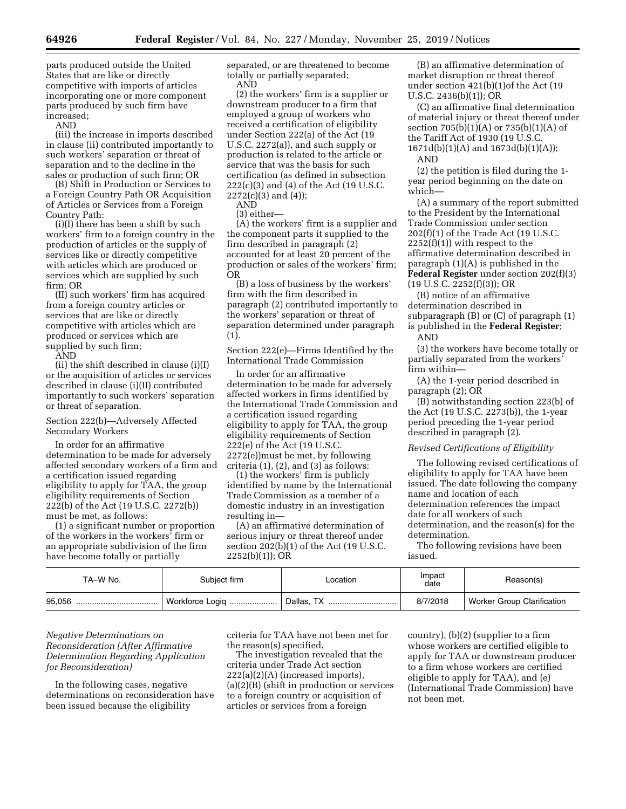parts produced outside the United States that are like or directly competitive with imports of articles incorporating one or more component parts produced by such firm have increased;

AND

(iii) the increase in imports described in clause (ii) contributed importantly to such workers' separation or threat of separation and to the decline in the sales or production of such firm; OR

(B) Shift in Production or Services to a Foreign Country Path OR Acquisition of Articles or Services from a Foreign Country Path:

(i)(I) there has been a shift by such workers' firm to a foreign country in the production of articles or the supply of services like or directly competitive with articles which are produced or services which are supplied by such firm; OR

(II) such workers' firm has acquired from a foreign country articles or services that are like or directly competitive with articles which are produced or services which are supplied by such firm;

AND

(ii) the shift described in clause (i)(I) or the acquisition of articles or services described in clause (i)(II) contributed importantly to such workers' separation or threat of separation.

#### Section 222(b)—Adversely Affected Secondary Workers

In order for an affirmative determination to be made for adversely affected secondary workers of a firm and a certification issued regarding eligibility to apply for TAA, the group eligibility requirements of Section 222(b) of the Act (19 U.S.C. 2272(b)) must be met, as follows:

(1) a significant number or proportion of the workers in the workers' firm or an appropriate subdivision of the firm have become totally or partially

separated, or are threatened to become totally or partially separated; AND

(2) the workers' firm is a supplier or downstream producer to a firm that employed a group of workers who received a certification of eligibility under Section 222(a) of the Act (19 U.S.C. 2272(a)), and such supply or production is related to the article or service that was the basis for such certification (as defined in subsection 222(c)(3) and (4) of the Act (19 U.S.C.  $2272(c)(3)$  and  $(4)$ );

AND (3) either—

(A) the workers' firm is a supplier and the component parts it supplied to the firm described in paragraph (2) accounted for at least 20 percent of the production or sales of the workers' firm; OR

(B) a loss of business by the workers' firm with the firm described in paragraph (2) contributed importantly to the workers' separation or threat of separation determined under paragraph (1).

Section 222(e)—Firms Identified by the International Trade Commission

In order for an affirmative determination to be made for adversely affected workers in firms identified by the International Trade Commission and a certification issued regarding eligibility to apply for TAA, the group eligibility requirements of Section 222(e) of the Act (19 U.S.C. 2272(e))must be met, by following criteria (1), (2), and (3) as follows:

(1) the workers' firm is publicly identified by name by the International Trade Commission as a member of a domestic industry in an investigation resulting in—

(A) an affirmative determination of serious injury or threat thereof under section 202(b)(1) of the Act (19 U.S.C. 2252(b)(1)); OR

(B) an affirmative determination of market disruption or threat thereof under section 421(b)(1)of the Act (19 U.S.C. 2436(b)(1)); OR

(C) an affirmative final determination of material injury or threat thereof under section  $705(b)(1)(A)$  or  $735(b)(1)(A)$  of the Tariff Act of 1930 (19 U.S.C. 1671d(b)(1)(A) and 1673d(b)(1)(A));

AND

(2) the petition is filed during the 1 year period beginning on the date on which—

(A) a summary of the report submitted to the President by the International Trade Commission under section 202(f)(1) of the Trade Act (19 U.S.C.  $2252(f)(1)$ ) with respect to the affirmative determination described in paragraph (1)(A) is published in the **Federal Register** under section 202(f)(3) (19 U.S.C. 2252(f)(3)); OR

(B) notice of an affirmative determination described in subparagraph (B) or (C) of paragraph (1) is published in the **Federal Register**;

AND

(3) the workers have become totally or partially separated from the workers' firm within—

(A) the 1-year period described in paragraph (2); OR

(B) notwithstanding section 223(b) of the Act (19 U.S.C. 2273(b)), the 1-year period preceding the 1-year period described in paragraph (2).

## *Revised Certifications of Eligibility*

The following revised certifications of eligibility to apply for TAA have been issued. The date following the company name and location of each determination references the impact date for all workers of such determination, and the reason(s) for the determination.

The following revisions have been issued.

| TA–W No.   | Subiect firm    | Location   | Impact<br>date | Reason(s)                         |
|------------|-----------------|------------|----------------|-----------------------------------|
| 95.056<br> | Workforce Logiq | Dallas, TX | 8/7/2018       | <b>Worker Group Clarification</b> |

## *Negative Determinations on Reconsideration (After Affirmative Determination Regarding Application for Reconsideration)*

In the following cases, negative determinations on reconsideration have been issued because the eligibility

criteria for TAA have not been met for the reason(s) specified.

The investigation revealed that the criteria under Trade Act section 222(a)(2)(A) (increased imports), (a)(2)(B) (shift in production or services to a foreign country or acquisition of articles or services from a foreign

country), (b)(2) (supplier to a firm whose workers are certified eligible to apply for TAA or downstream producer to a firm whose workers are certified eligible to apply for TAA), and (e) (International Trade Commission) have not been met.